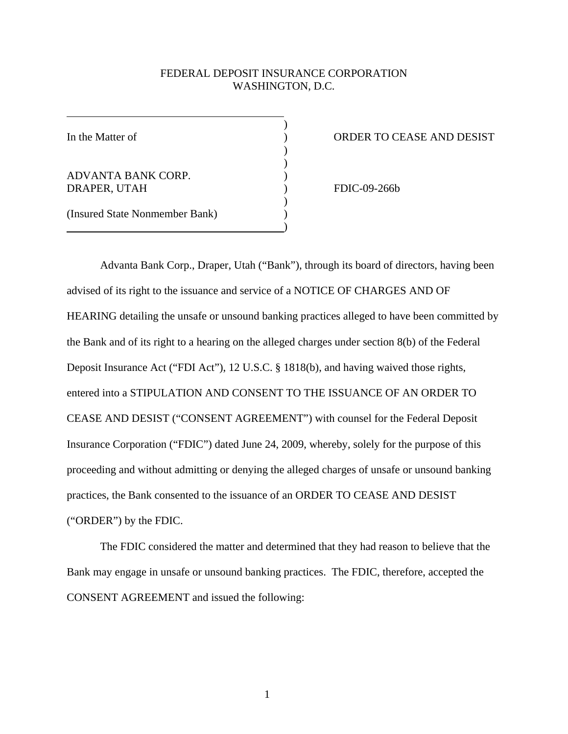# FEDERAL DEPOSIT INSURANCE CORPORATION WASHINGTON, D.C.

) )

> ) )

In the Matter of

ADVANTA BANK CORP. DRAPER, UTAH

) ORDER TO CEASE AND DESIST

FDIC-09-266b

(Insured State Nonmember Bank)

 $\overline{\phantom{a}}$ 

 $)$  $)$ 

 $)$ 

Advanta Bank Corp., Draper, Utah ("Bank"), through its board of directors, having been advised of its right to the issuance and service of a NOTICE OF CHARGES AND OF HEARING detailing the unsafe or unsound banking practices alleged to have been committed by the Bank and of its right to a hearing on the alleged charges under section 8(b) of the Federal Deposit Insurance Act ("FDI Act"), 12 U.S.C. § 1818(b), and having waived those rights, entered into a STIPULATION AND CONSENT TO THE ISSUANCE OF AN ORDER TO CEASE AND DESIST ("CONSENT AGREEMENT") with counsel for the Federal Deposit Insurance Corporation ("FDIC") dated June 24, 2009, whereby, solely for the purpose of this proceeding and without admitting or denying the alleged charges of unsafe or unsound banking practices, the Bank consented to the issuance of an ORDER TO CEASE AND DESIST ("ORDER") by the FDIC.

 The FDIC considered the matter and determined that they had reason to believe that the Bank may engage in unsafe or unsound banking practices. The FDIC, therefore, accepted the CONSENT AGREEMENT and issued the following: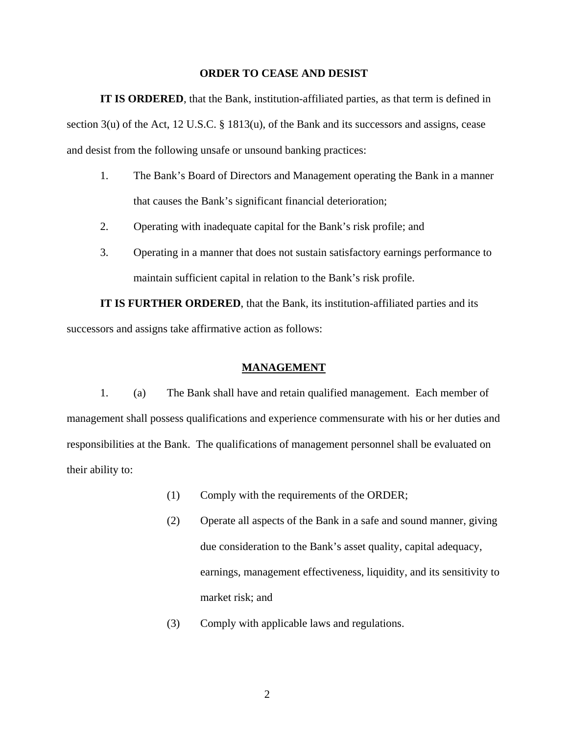## **ORDER TO CEASE AND DESIST**

**IT IS ORDERED**, that the Bank, institution-affiliated parties, as that term is defined in section 3(u) of the Act, 12 U.S.C. § 1813(u), of the Bank and its successors and assigns, cease and desist from the following unsafe or unsound banking practices:

- 1. The Bank's Board of Directors and Management operating the Bank in a manner that causes the Bank's significant financial deterioration;
- 2. Operating with inadequate capital for the Bank's risk profile; and
- 3. Operating in a manner that does not sustain satisfactory earnings performance to maintain sufficient capital in relation to the Bank's risk profile.

**IT IS FURTHER ORDERED**, that the Bank, its institution-affiliated parties and its successors and assigns take affirmative action as follows:

## **MANAGEMENT**

 1. (a) The Bank shall have and retain qualified management. Each member of management shall possess qualifications and experience commensurate with his or her duties and responsibilities at the Bank. The qualifications of management personnel shall be evaluated on their ability to:

- (1) Comply with the requirements of the ORDER;
- (2) Operate all aspects of the Bank in a safe and sound manner, giving due consideration to the Bank's asset quality, capital adequacy, earnings, management effectiveness, liquidity, and its sensitivity to market risk; and
- (3) Comply with applicable laws and regulations.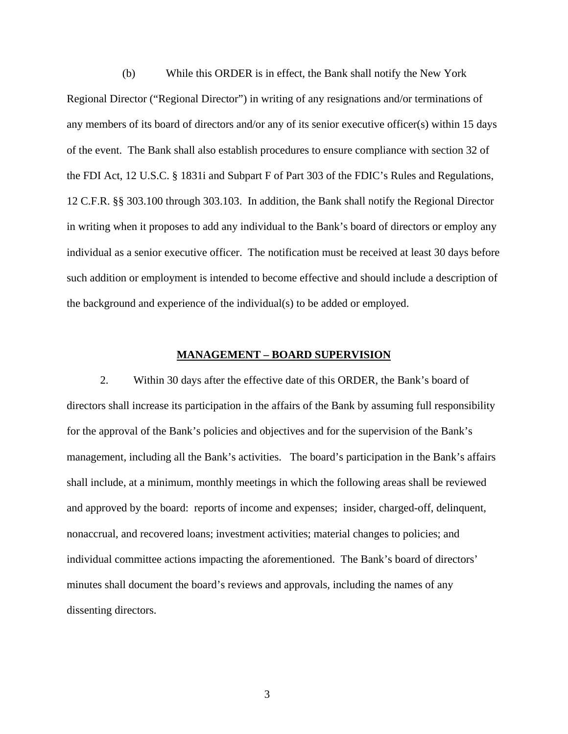(b) While this ORDER is in effect, the Bank shall notify the New York Regional Director ("Regional Director") in writing of any resignations and/or terminations of any members of its board of directors and/or any of its senior executive officer(s) within 15 days of the event. The Bank shall also establish procedures to ensure compliance with section 32 of the FDI Act, 12 U.S.C. § 1831i and Subpart F of Part 303 of the FDIC's Rules and Regulations, 12 C.F.R. §§ 303.100 through 303.103. In addition, the Bank shall notify the Regional Director in writing when it proposes to add any individual to the Bank's board of directors or employ any individual as a senior executive officer. The notification must be received at least 30 days before such addition or employment is intended to become effective and should include a description of the background and experience of the individual(s) to be added or employed.

# **MANAGEMENT – BOARD SUPERVISION**

 2. Within 30 days after the effective date of this ORDER, the Bank's board of directors shall increase its participation in the affairs of the Bank by assuming full responsibility for the approval of the Bank's policies and objectives and for the supervision of the Bank's management, including all the Bank's activities. The board's participation in the Bank's affairs shall include, at a minimum, monthly meetings in which the following areas shall be reviewed and approved by the board: reports of income and expenses; insider, charged-off, delinquent, nonaccrual, and recovered loans; investment activities; material changes to policies; and individual committee actions impacting the aforementioned. The Bank's board of directors' minutes shall document the board's reviews and approvals, including the names of any dissenting directors.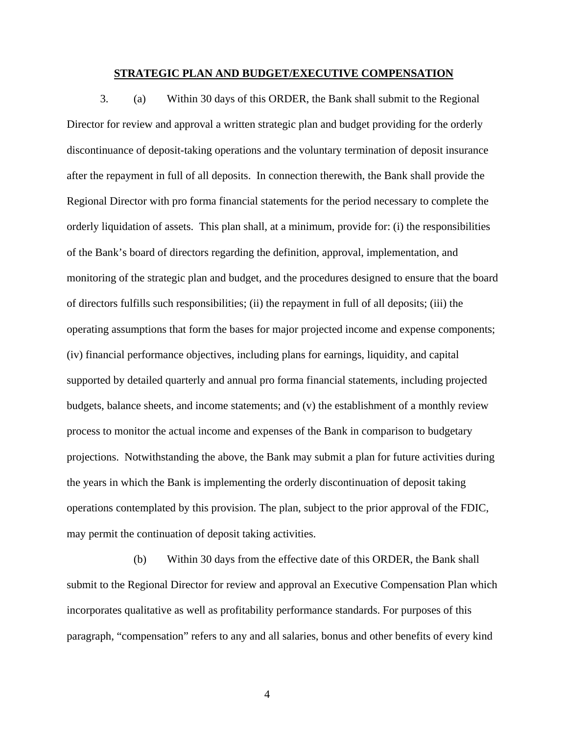### **STRATEGIC PLAN AND BUDGET/EXECUTIVE COMPENSATION**

3. (a) Within 30 days of this ORDER, the Bank shall submit to the Regional Director for review and approval a written strategic plan and budget providing for the orderly discontinuance of deposit-taking operations and the voluntary termination of deposit insurance after the repayment in full of all deposits. In connection therewith, the Bank shall provide the Regional Director with pro forma financial statements for the period necessary to complete the orderly liquidation of assets. This plan shall, at a minimum, provide for: (i) the responsibilities of the Bank's board of directors regarding the definition, approval, implementation, and monitoring of the strategic plan and budget, and the procedures designed to ensure that the board of directors fulfills such responsibilities; (ii) the repayment in full of all deposits; (iii) the operating assumptions that form the bases for major projected income and expense components; (iv) financial performance objectives, including plans for earnings, liquidity, and capital supported by detailed quarterly and annual pro forma financial statements, including projected budgets, balance sheets, and income statements; and (v) the establishment of a monthly review process to monitor the actual income and expenses of the Bank in comparison to budgetary projections. Notwithstanding the above, the Bank may submit a plan for future activities during the years in which the Bank is implementing the orderly discontinuation of deposit taking operations contemplated by this provision. The plan, subject to the prior approval of the FDIC, may permit the continuation of deposit taking activities.

 (b) Within 30 days from the effective date of this ORDER, the Bank shall submit to the Regional Director for review and approval an Executive Compensation Plan which incorporates qualitative as well as profitability performance standards. For purposes of this paragraph, "compensation" refers to any and all salaries, bonus and other benefits of every kind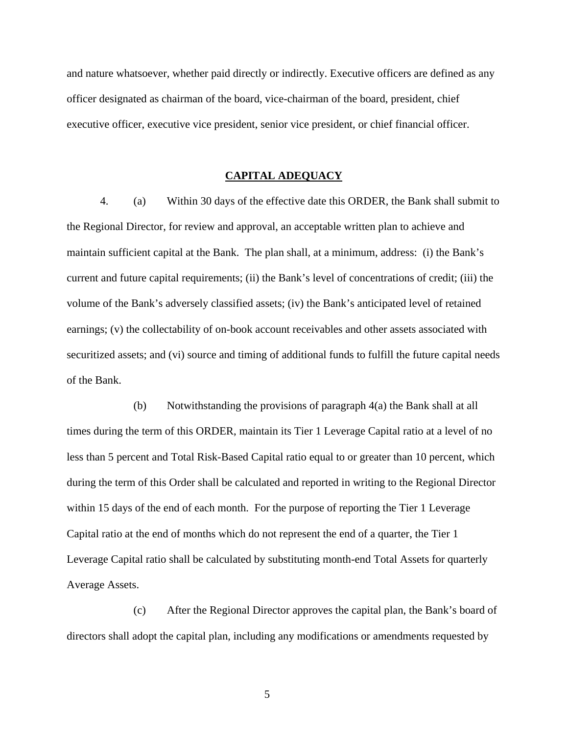and nature whatsoever, whether paid directly or indirectly. Executive officers are defined as any officer designated as chairman of the board, vice-chairman of the board, president, chief executive officer, executive vice president, senior vice president, or chief financial officer.

### **CAPITAL ADEQUACY**

4. (a) Within 30 days of the effective date this ORDER, the Bank shall submit to the Regional Director, for review and approval, an acceptable written plan to achieve and maintain sufficient capital at the Bank. The plan shall, at a minimum, address: (i) the Bank's current and future capital requirements; (ii) the Bank's level of concentrations of credit; (iii) the volume of the Bank's adversely classified assets; (iv) the Bank's anticipated level of retained earnings; (v) the collectability of on-book account receivables and other assets associated with securitized assets; and (vi) source and timing of additional funds to fulfill the future capital needs of the Bank.

 (b) Notwithstanding the provisions of paragraph 4(a) the Bank shall at all times during the term of this ORDER, maintain its Tier 1 Leverage Capital ratio at a level of no less than 5 percent and Total Risk-Based Capital ratio equal to or greater than 10 percent, which during the term of this Order shall be calculated and reported in writing to the Regional Director within 15 days of the end of each month. For the purpose of reporting the Tier 1 Leverage Capital ratio at the end of months which do not represent the end of a quarter, the Tier 1 Leverage Capital ratio shall be calculated by substituting month-end Total Assets for quarterly Average Assets.

 (c) After the Regional Director approves the capital plan, the Bank's board of directors shall adopt the capital plan, including any modifications or amendments requested by

 $\overline{5}$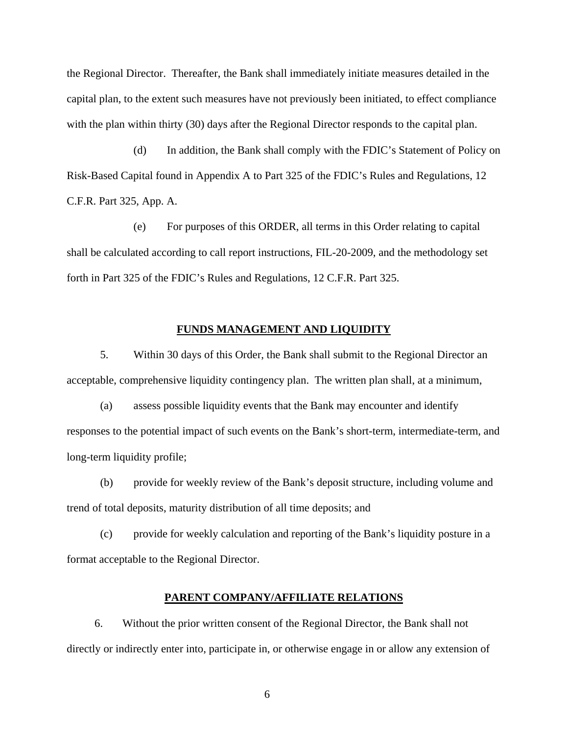the Regional Director. Thereafter, the Bank shall immediately initiate measures detailed in the capital plan, to the extent such measures have not previously been initiated, to effect compliance with the plan within thirty (30) days after the Regional Director responds to the capital plan.

(d) In addition, the Bank shall comply with the FDIC's Statement of Policy on Risk-Based Capital found in Appendix A to Part 325 of the FDIC's Rules and Regulations, 12 C.F.R. Part 325, App. A.

(e) For purposes of this ORDER, all terms in this Order relating to capital shall be calculated according to call report instructions, FIL-20-2009, and the methodology set forth in Part 325 of the FDIC's Rules and Regulations, 12 C.F.R. Part 325.

## **FUNDS MANAGEMENT AND LIQUIDITY**

5. Within 30 days of this Order, the Bank shall submit to the Regional Director an acceptable, comprehensive liquidity contingency plan. The written plan shall, at a minimum,

(a) assess possible liquidity events that the Bank may encounter and identify responses to the potential impact of such events on the Bank's short-term, intermediate-term, and long-term liquidity profile;

(b) provide for weekly review of the Bank's deposit structure, including volume and trend of total deposits, maturity distribution of all time deposits; and

(c) provide for weekly calculation and reporting of the Bank's liquidity posture in a format acceptable to the Regional Director.

## **PARENT COMPANY/AFFILIATE RELATIONS**

 6. Without the prior written consent of the Regional Director, the Bank shall not directly or indirectly enter into, participate in, or otherwise engage in or allow any extension of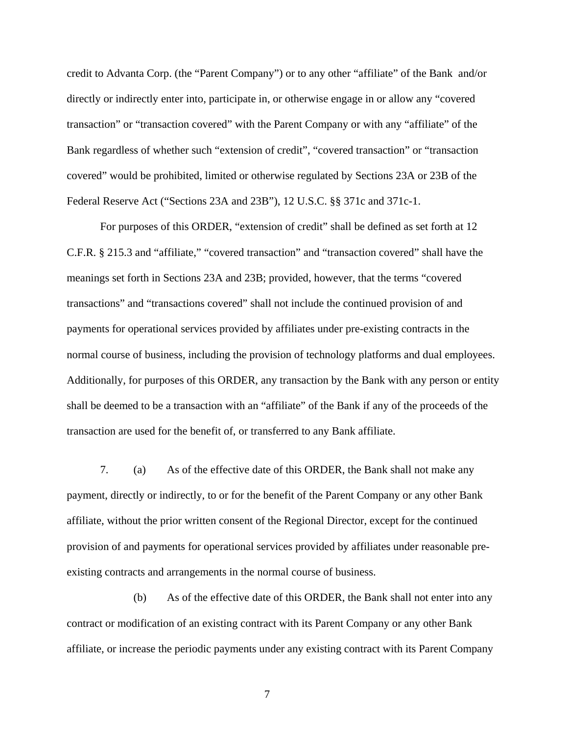credit to Advanta Corp. (the "Parent Company") or to any other "affiliate" of the Bank and/or directly or indirectly enter into, participate in, or otherwise engage in or allow any "covered transaction" or "transaction covered" with the Parent Company or with any "affiliate" of the Bank regardless of whether such "extension of credit", "covered transaction" or "transaction covered" would be prohibited, limited or otherwise regulated by Sections 23A or 23B of the Federal Reserve Act ("Sections 23A and 23B"), 12 U.S.C. §§ 371c and 371c-1.

For purposes of this ORDER, "extension of credit" shall be defined as set forth at 12 C.F.R. § 215.3 and "affiliate," "covered transaction" and "transaction covered" shall have the meanings set forth in Sections 23A and 23B; provided, however, that the terms "covered transactions" and "transactions covered" shall not include the continued provision of and payments for operational services provided by affiliates under pre-existing contracts in the normal course of business, including the provision of technology platforms and dual employees. Additionally, for purposes of this ORDER, any transaction by the Bank with any person or entity shall be deemed to be a transaction with an "affiliate" of the Bank if any of the proceeds of the transaction are used for the benefit of, or transferred to any Bank affiliate.

7. (a) As of the effective date of this ORDER, the Bank shall not make any payment, directly or indirectly, to or for the benefit of the Parent Company or any other Bank affiliate, without the prior written consent of the Regional Director, except for the continued provision of and payments for operational services provided by affiliates under reasonable preexisting contracts and arrangements in the normal course of business.

 (b) As of the effective date of this ORDER, the Bank shall not enter into any contract or modification of an existing contract with its Parent Company or any other Bank affiliate, or increase the periodic payments under any existing contract with its Parent Company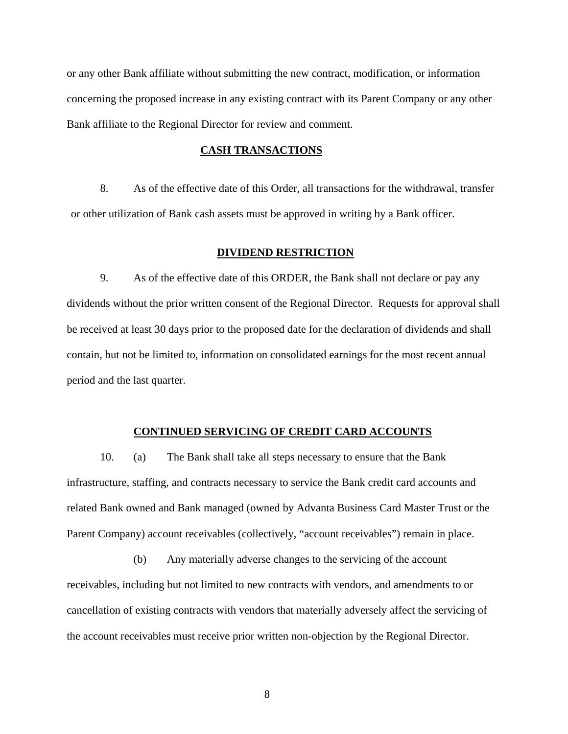or any other Bank affiliate without submitting the new contract, modification, or information concerning the proposed increase in any existing contract with its Parent Company or any other Bank affiliate to the Regional Director for review and comment.

# **CASH TRANSACTIONS**

8. As of the effective date of this Order, all transactions for the withdrawal, transfer or other utilization of Bank cash assets must be approved in writing by a Bank officer.

## **DIVIDEND RESTRICTION**

 9. As of the effective date of this ORDER, the Bank shall not declare or pay any dividends without the prior written consent of the Regional Director. Requests for approval shall be received at least 30 days prior to the proposed date for the declaration of dividends and shall contain, but not be limited to, information on consolidated earnings for the most recent annual period and the last quarter.

# **CONTINUED SERVICING OF CREDIT CARD ACCOUNTS**

 10. (a) The Bank shall take all steps necessary to ensure that the Bank infrastructure, staffing, and contracts necessary to service the Bank credit card accounts and related Bank owned and Bank managed (owned by Advanta Business Card Master Trust or the Parent Company) account receivables (collectively, "account receivables") remain in place.

 (b) Any materially adverse changes to the servicing of the account receivables, including but not limited to new contracts with vendors, and amendments to or cancellation of existing contracts with vendors that materially adversely affect the servicing of the account receivables must receive prior written non-objection by the Regional Director.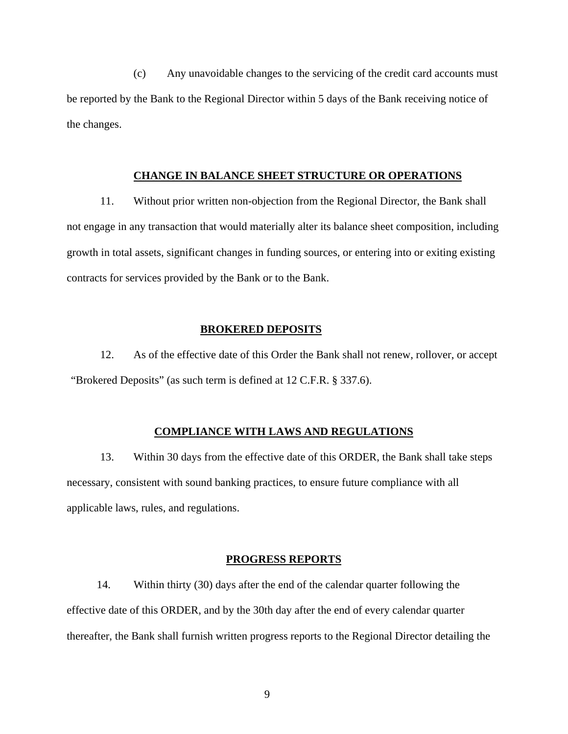(c) Any unavoidable changes to the servicing of the credit card accounts must be reported by the Bank to the Regional Director within 5 days of the Bank receiving notice of the changes.

# **CHANGE IN BALANCE SHEET STRUCTURE OR OPERATIONS**

 11. Without prior written non-objection from the Regional Director, the Bank shall not engage in any transaction that would materially alter its balance sheet composition, including growth in total assets, significant changes in funding sources, or entering into or exiting existing contracts for services provided by the Bank or to the Bank.

# **BROKERED DEPOSITS**

12. As of the effective date of this Order the Bank shall not renew, rollover, or accept "Brokered Deposits" (as such term is defined at 12 C.F.R. § 337.6).

# **COMPLIANCE WITH LAWS AND REGULATIONS**

13. Within 30 days from the effective date of this ORDER, the Bank shall take steps necessary, consistent with sound banking practices, to ensure future compliance with all applicable laws, rules, and regulations.

### **PROGRESS REPORTS**

14. Within thirty (30) days after the end of the calendar quarter following the effective date of this ORDER, and by the 30th day after the end of every calendar quarter thereafter, the Bank shall furnish written progress reports to the Regional Director detailing the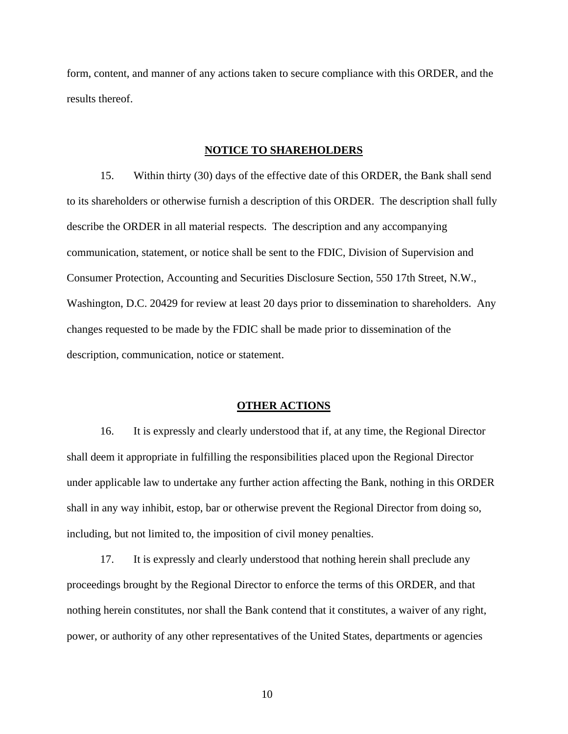form, content, and manner of any actions taken to secure compliance with this ORDER, and the results thereof.

#### **NOTICE TO SHAREHOLDERS**

15. Within thirty (30) days of the effective date of this ORDER, the Bank shall send to its shareholders or otherwise furnish a description of this ORDER. The description shall fully describe the ORDER in all material respects. The description and any accompanying communication, statement, or notice shall be sent to the FDIC, Division of Supervision and Consumer Protection, Accounting and Securities Disclosure Section, 550 17th Street, N.W., Washington, D.C. 20429 for review at least 20 days prior to dissemination to shareholders. Any changes requested to be made by the FDIC shall be made prior to dissemination of the description, communication, notice or statement.

#### **OTHER ACTIONS**

 16. It is expressly and clearly understood that if, at any time, the Regional Director shall deem it appropriate in fulfilling the responsibilities placed upon the Regional Director under applicable law to undertake any further action affecting the Bank, nothing in this ORDER shall in any way inhibit, estop, bar or otherwise prevent the Regional Director from doing so, including, but not limited to, the imposition of civil money penalties.

17. It is expressly and clearly understood that nothing herein shall preclude any proceedings brought by the Regional Director to enforce the terms of this ORDER, and that nothing herein constitutes, nor shall the Bank contend that it constitutes, a waiver of any right, power, or authority of any other representatives of the United States, departments or agencies